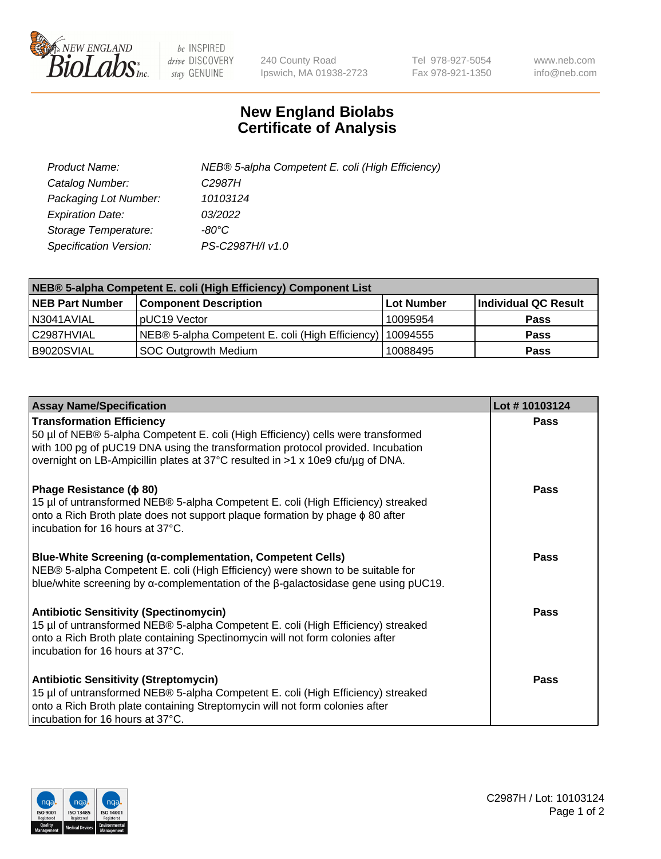

 $be$  INSPIRED drive DISCOVERY stay GENUINE

240 County Road Ipswich, MA 01938-2723 Tel 978-927-5054 Fax 978-921-1350 www.neb.com info@neb.com

## **New England Biolabs Certificate of Analysis**

| Product Name:           | NEB® 5-alpha Competent E. coli (High Efficiency) |
|-------------------------|--------------------------------------------------|
| Catalog Number:         | C <sub>2987</sub> H                              |
| Packaging Lot Number:   | 10103124                                         |
| <b>Expiration Date:</b> | 03/2022                                          |
| Storage Temperature:    | -80°C.                                           |
| Specification Version:  | PS-C2987H/I v1.0                                 |

| NEB® 5-alpha Competent E. coli (High Efficiency) Component List |                                                  |            |                      |  |
|-----------------------------------------------------------------|--------------------------------------------------|------------|----------------------|--|
| <b>NEB Part Number</b>                                          | <b>Component Description</b>                     | Lot Number | Individual QC Result |  |
| N3041AVIAL                                                      | pUC19 Vector                                     | 10095954   | <b>Pass</b>          |  |
| C2987HVIAL                                                      | NEB® 5-alpha Competent E. coli (High Efficiency) | 10094555   | <b>Pass</b>          |  |
| B9020SVIAL                                                      | <b>SOC Outgrowth Medium</b>                      | 10088495   | <b>Pass</b>          |  |

| <b>Assay Name/Specification</b>                                                                                                                                                                                                                                                           | Lot #10103124 |
|-------------------------------------------------------------------------------------------------------------------------------------------------------------------------------------------------------------------------------------------------------------------------------------------|---------------|
| <b>Transformation Efficiency</b><br>50 µl of NEB® 5-alpha Competent E. coli (High Efficiency) cells were transformed<br>with 100 pg of pUC19 DNA using the transformation protocol provided. Incubation<br>overnight on LB-Ampicillin plates at 37°C resulted in >1 x 10e9 cfu/µg of DNA. | <b>Pass</b>   |
| Phage Resistance ( $\phi$ 80)<br>15 µl of untransformed NEB® 5-alpha Competent E. coli (High Efficiency) streaked<br>onto a Rich Broth plate does not support plaque formation by phage $\phi$ 80 after<br>incubation for 16 hours at 37°C.                                               | Pass          |
| Blue-White Screening (α-complementation, Competent Cells)<br>NEB® 5-alpha Competent E. coli (High Efficiency) were shown to be suitable for<br>blue/white screening by $\alpha$ -complementation of the $\beta$ -galactosidase gene using pUC19.                                          | <b>Pass</b>   |
| <b>Antibiotic Sensitivity (Spectinomycin)</b><br>15 µl of untransformed NEB® 5-alpha Competent E. coli (High Efficiency) streaked<br>onto a Rich Broth plate containing Spectinomycin will not form colonies after<br>incubation for 16 hours at 37°C.                                    | <b>Pass</b>   |
| <b>Antibiotic Sensitivity (Streptomycin)</b><br>15 µl of untransformed NEB® 5-alpha Competent E. coli (High Efficiency) streaked<br>onto a Rich Broth plate containing Streptomycin will not form colonies after<br>incubation for 16 hours at 37°C.                                      | Pass          |